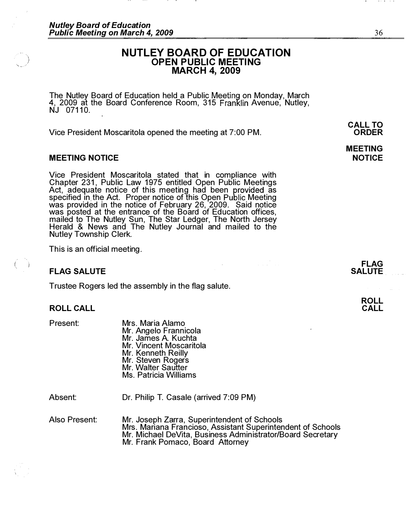# NUTLEY BOARD OF EDUCATION OPEN PUBLIC MEETING MARCH 4, 2009

The Nutley Board of Education held a Public Meeting on Monday, March 4, 2009 at the Board Conference Room, 315 Franklin Avenue, Nutley, NJ 07110.

Vice President Moscaritola opened the meeting at 7:00 PM.

# MEETING NOTICE

Vice President Moscaritola stated that in compliance with Chapter 231, Public Law 1975 entitled Open Public Meetings Act, adequate notice of this meeting had been provided as specified in the Act. Proper notice of this Open Public Meeting was provided in the notice of February 26, 2009. Said notice was posted at the entrance of the Board of Education offices, mailed to The Nutley Sun, The Star Ledger, The North Jersey Herald & News and The Nutley Journal and mailed to the Nutley Township Clerk.

This is an official meeting.

## FLAG SALUTE

Trustee Rogers led the assembly in the flag salute.

### ROLL CALL

Present:

,

Mrs. Maria Alamo Mr. Angelo Frannicola Mr. James A. Kuchta Mr. Vincent Moscaritola Mr. Kenneth Reilly Mr. Steven Rogers Mr. Walter Sautter Ms. Patricia Williams

Absent:

Dr. Philip T. Casale (arrived 7:09 PM)

Also Present: Mr. Joseph Zarra, Superintendent of Schools Mrs. Mariana Francioso, Assistant Superintendent of Schools Mr. Michael DeVita, Business Administrator/Board Secretary Mr. Frank Pomaco, Board Attorney

CALL TO ORDER

# MEETING NOTICE

FLAG SALUTE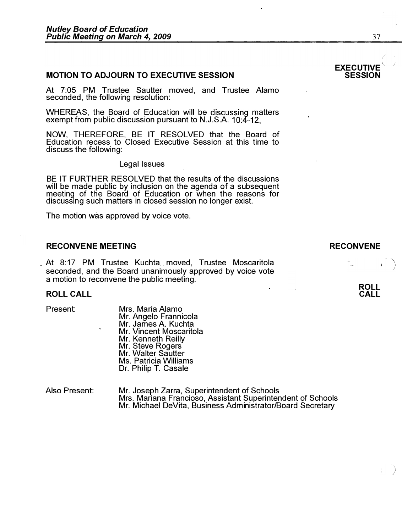# **MOTION TO ADJOURN TO EXECUTIVE SESSION**

At 7:05 PM Trustee Sautter moved, and Trustee Alamo seconded, the following resolution:

WHEREAS, the Board of Education will be discussing matters exempt from public discussion pursuant to N.J.S.A. 10:4-12,

NOW, THEREFORE, BE IT RESOLVED that the Board of Education recess to Closed Executive Session at this time to discuss the following:

Legal Issues

BE IT FURTHER RESOLVED that the results of the discussions will be made public by inclusion on the agenda of a subsequent meeting of the Board of Education or when the reasons for discussing such matters in closed session no longer exist.

The motion was approved by voice vote.

#### RECONVENE MEETING

At 8:17 PM Trustee Kuchta moved, Trustee Moscaritola seconded, and the Board unanimously approved by voice vote a motion to reconvene the public meeting.

#### ROLL CALL

Present:

Mrs. Maria Alamo Mr. Angelo Frannicola Mr. James A. Kuchta Mr. Vincent Moscaritola Mr. Kenneth Reilly Mr. Steve Rogers Mr. Walter Sautter Ms. Patricia Williams Dr. Philip T. Casale

Also Present: Mr. Joseph Zarra, Superintendent of Schools Mrs. Mariana Francioso, Assistant Superintendent of Schools Mr. Michael DeVita, Business Administrator/Board Secretary

#### EXECUTIVE ( **SESSION**

#### RECONVENE



 $\overline{a}$ 

/

 $\frac{1}{2}$